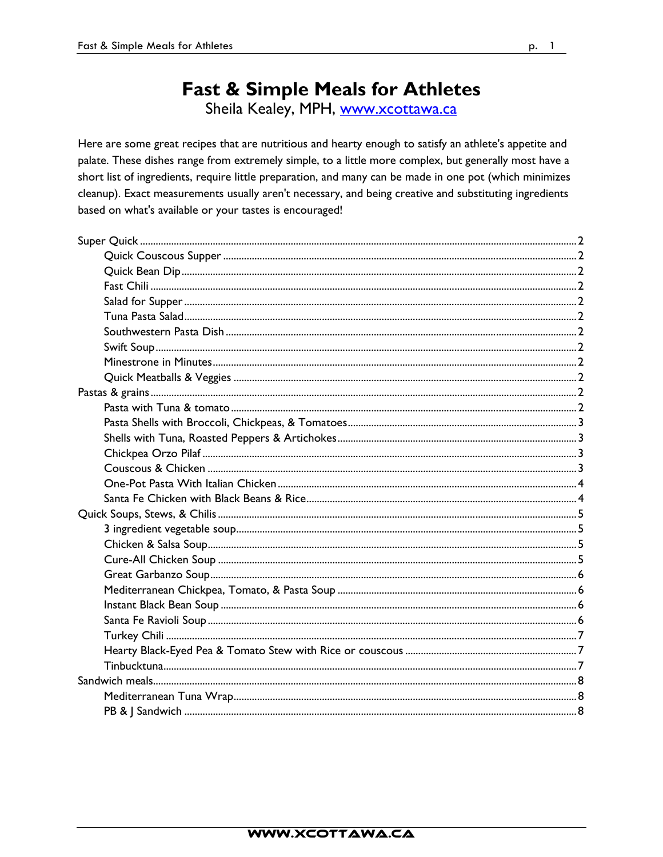# **Fast & Simple Meals for Athletes**

Sheila Kealey, MPH, www.xcottawa.ca

Here are some great recipes that are nutritious and hearty enough to satisfy an athlete's appetite and palate. These dishes range from extremely simple, to a little more complex, but generally most have a short list of ingredients, require little preparation, and many can be made in one pot (which minimizes cleanup). Exact measurements usually aren't necessary, and being creative and substituting ingredients based on what's available or your tastes is encouraged!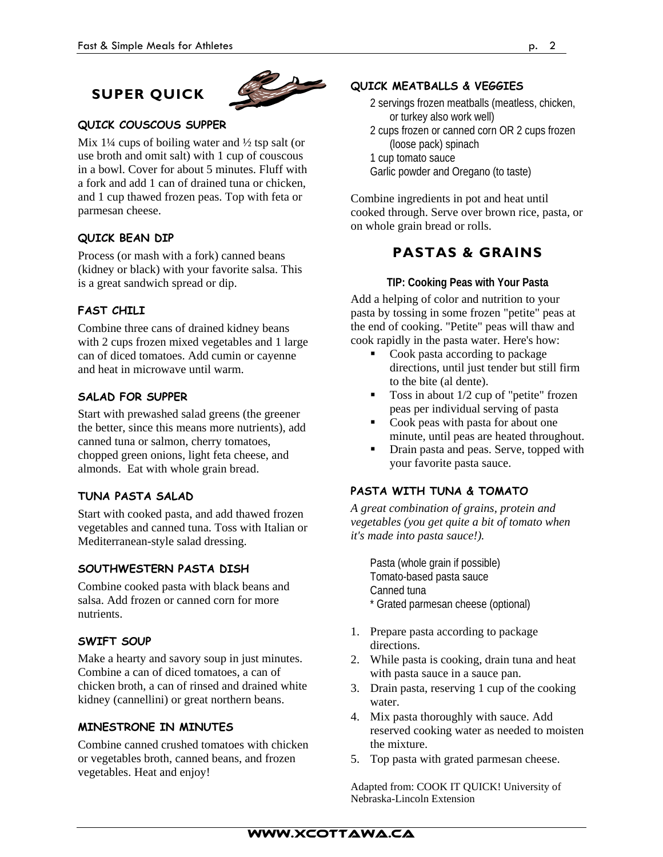## **SUPER QUICK**



## **QUICK COUSCOUS SUPPER**

Mix  $1\frac{1}{4}$  cups of boiling water and  $\frac{1}{2}$  tsp salt (or use broth and omit salt) with 1 cup of couscous in a bowl. Cover for about 5 minutes. Fluff with a fork and add 1 can of drained tuna or chicken, and 1 cup thawed frozen peas. Top with feta or parmesan cheese.

## **QUICK BEAN DIP**

Process (or mash with a fork) canned beans (kidney or black) with your favorite salsa. This is a great sandwich spread or dip.

## **FAST CHILI**

Combine three cans of drained kidney beans with 2 cups frozen mixed vegetables and 1 large can of diced tomatoes. Add cumin or cayenne and heat in microwave until warm.

### **SALAD FOR SUPPER**

Start with prewashed salad greens (the greener the better, since this means more nutrients), add canned tuna or salmon, cherry tomatoes, chopped green onions, light feta cheese, and almonds. Eat with whole grain bread.

#### **TUNA PASTA SALAD**

Start with cooked pasta, and add thawed frozen vegetables and canned tuna. Toss with Italian or Mediterranean-style salad dressing.

## **SOUTHWESTERN PASTA DISH**

Combine cooked pasta with black beans and salsa. Add frozen or canned corn for more nutrients.

#### **SWIFT SOUP**

Make a hearty and savory soup in just minutes. Combine a can of diced tomatoes, a can of chicken broth, a can of rinsed and drained white kidney (cannellini) or great northern beans.

#### **MINESTRONE IN MINUTES**

Combine canned crushed tomatoes with chicken or vegetables broth, canned beans, and frozen vegetables. Heat and enjoy!

## **QUICK MEATBALLS & VEGGIES**

- 2 servings frozen meatballs (meatless, chicken, or turkey also work well)
- 2 cups frozen or canned corn OR 2 cups frozen (loose pack) spinach
- 1 cup tomato sauce
- Garlic powder and Oregano (to taste)

Combine ingredients in pot and heat until cooked through. Serve over brown rice, pasta, or on whole grain bread or rolls.

## **PASTAS & GRAINS**

#### **TIP: Cooking Peas with Your Pasta**

Add a helping of color and nutrition to your pasta by tossing in some frozen "petite" peas at the end of cooking. "Petite" peas will thaw and cook rapidly in the pasta water. Here's how:

- Cook pasta according to package directions, until just tender but still firm to the bite (al dente).
- Toss in about  $1/2$  cup of "petite" frozen peas per individual serving of pasta
- Cook peas with pasta for about one minute, until peas are heated throughout.
- Drain pasta and peas. Serve, topped with your favorite pasta sauce.

#### **PASTA WITH TUNA & TOMATO**

*A great combination of grains, protein and vegetables (you get quite a bit of tomato when it's made into pasta sauce!).* 

Pasta (whole grain if possible) Tomato-based pasta sauce Canned tuna \* Grated parmesan cheese (optional)

- 1. Prepare pasta according to package directions.
- 2. While pasta is cooking, drain tuna and heat with pasta sauce in a sauce pan.
- 3. Drain pasta, reserving 1 cup of the cooking water.
- 4. Mix pasta thoroughly with sauce. Add reserved cooking water as needed to moisten the mixture.
- 5. Top pasta with grated parmesan cheese.

Adapted from: COOK IT QUICK! University of Nebraska-Lincoln Extension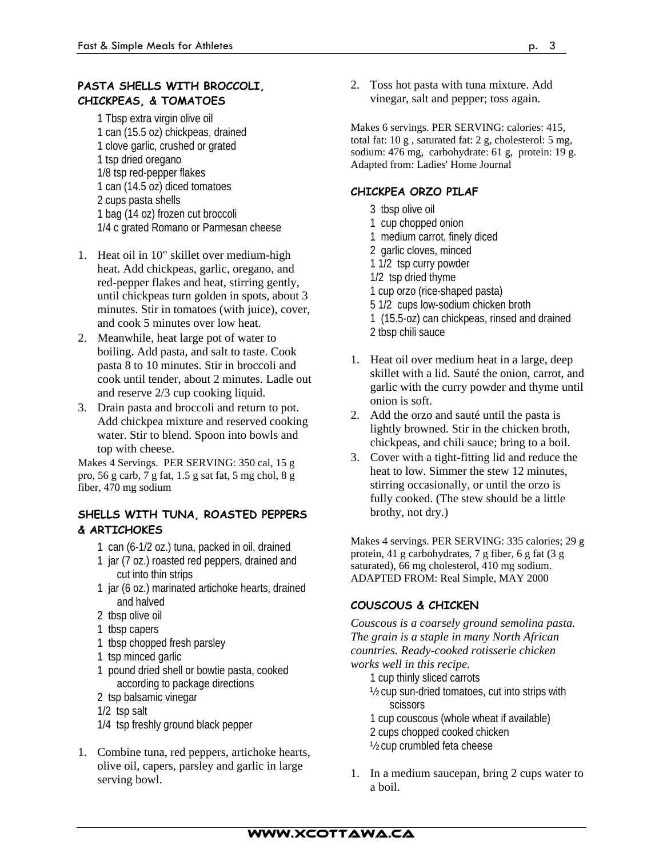## **PASTA SHELLS WITH BROCCOLI, CHICKPEAS, & TOMATOES**

1 Tbsp extra virgin olive oil 1 can (15.5 oz) chickpeas, drained 1 clove garlic, crushed or grated 1 tsp dried oregano 1/8 tsp red-pepper flakes 1 can (14.5 oz) diced tomatoes 2 cups pasta shells 1 bag (14 oz) frozen cut broccoli 1/4 c grated Romano or Parmesan cheese

- 1. Heat oil in 10" skillet over medium-high heat. Add chickpeas, garlic, oregano, and red-pepper flakes and heat, stirring gently, until chickpeas turn golden in spots, about 3 minutes. Stir in tomatoes (with juice), cover, and cook 5 minutes over low heat.
- 2. Meanwhile, heat large pot of water to boiling. Add pasta, and salt to taste. Cook pasta 8 to 10 minutes. Stir in broccoli and cook until tender, about 2 minutes. Ladle out and reserve 2/3 cup cooking liquid.
- 3. Drain pasta and broccoli and return to pot. Add chickpea mixture and reserved cooking water. Stir to blend. Spoon into bowls and top with cheese.

Makes 4 Servings. PER SERVING: 350 cal, 15 g pro, 56 g carb, 7 g fat, 1.5 g sat fat, 5 mg chol, 8 g fiber, 470 mg sodium

## **SHELLS WITH TUNA, ROASTED PEPPERS & ARTICHOKES**

- 1 can (6-1/2 oz.) tuna, packed in oil, drained
- 1 jar (7 oz.) roasted red peppers, drained and cut into thin strips
- 1 jar (6 oz.) marinated artichoke hearts, drained and halved
- 2 tbsp olive oil
- 1 tbsp capers
- 1 tbsp chopped fresh parsley
- 1 tsp minced garlic
- 1 pound dried shell or bowtie pasta, cooked according to package directions
- 2 tsp balsamic vinegar
- 1/2 tsp salt
- 1/4 tsp freshly ground black pepper
- 1. Combine tuna, red peppers, artichoke hearts, olive oil, capers, parsley and garlic in large serving bowl.

2. Toss hot pasta with tuna mixture. Add vinegar, salt and pepper; toss again.

Makes 6 servings. PER SERVING: calories: 415, total fat: 10 g , saturated fat: 2 g, cholesterol: 5 mg, sodium: 476 mg, carbohydrate: 61 g, protein: 19 g. Adapted from: Ladies' Home Journal

## **CHICKPEA ORZO PILAF**

- 3 tbsp olive oil
- 1 cup chopped onion
- 1 medium carrot, finely diced
- 2 garlic cloves, minced
- 1 1/2 tsp curry powder
- 1/2 tsp dried thyme
- 1 cup orzo (rice-shaped pasta)
- 5 1/2 cups low-sodium chicken broth
- 1 (15.5-oz) can chickpeas, rinsed and drained 2 tbsp chili sauce
- 1. Heat oil over medium heat in a large, deep skillet with a lid. Sauté the onion, carrot, and garlic with the curry powder and thyme until onion is soft.
- 2. Add the orzo and sauté until the pasta is lightly browned. Stir in the chicken broth, chickpeas, and chili sauce; bring to a boil.
- 3. Cover with a tight-fitting lid and reduce the heat to low. Simmer the stew 12 minutes, stirring occasionally, or until the orzo is fully cooked. (The stew should be a little brothy, not dry.)

Makes 4 servings. PER SERVING: 335 calories; 29 g protein, 41 g carbohydrates, 7 g fiber, 6 g fat (3 g saturated), 66 mg cholesterol, 410 mg sodium. ADAPTED FROM: Real Simple, MAY 2000

## **COUSCOUS & CHICKEN**

*Couscous is a coarsely ground semolina pasta. The grain is a staple in many North African countries. Ready-cooked rotisserie chicken works well in this recipe.* 

- 1 cup thinly sliced carrots
- ½ cup sun-dried tomatoes, cut into strips with scissors
- 1 cup couscous (whole wheat if available)
- 2 cups chopped cooked chicken
- ½ cup crumbled feta cheese
- 1. In a medium saucepan, bring 2 cups water to a boil.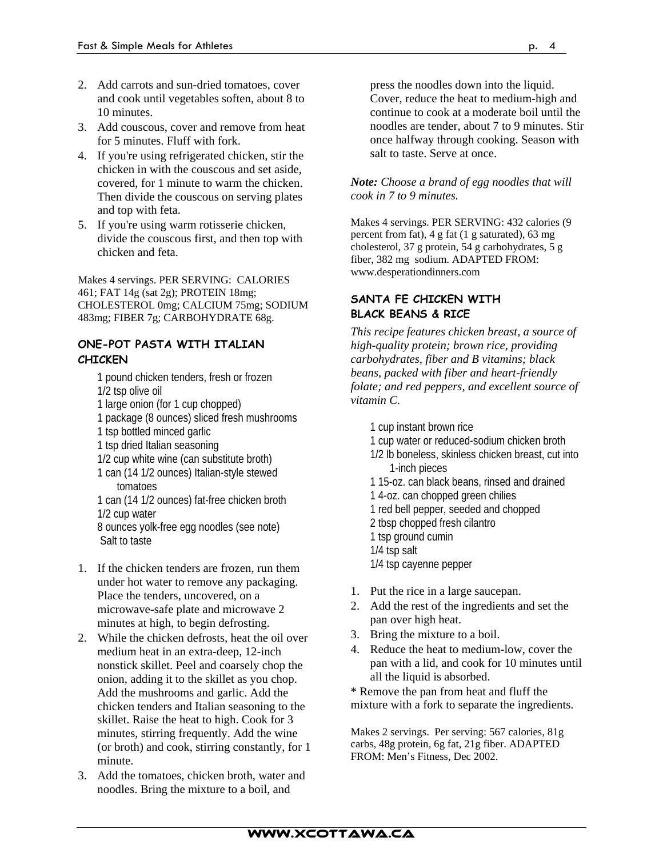- 2. Add carrots and sun-dried tomatoes, cover and cook until vegetables soften, about 8 to 10 minutes.
- 3. Add couscous, cover and remove from heat for 5 minutes. Fluff with fork.
- 4. If you're using refrigerated chicken, stir the chicken in with the couscous and set aside, covered, for 1 minute to warm the chicken. Then divide the couscous on serving plates and top with feta.
- 5. If you're using warm rotisserie chicken, divide the couscous first, and then top with chicken and feta.

Makes 4 servings. PER SERVING: CALORIES 461; FAT 14g (sat 2g); PROTEIN 18mg; CHOLESTEROL 0mg; CALCIUM 75mg; SODIUM 483mg; FIBER 7g; CARBOHYDRATE 68g.

## **ONE-POT PASTA WITH ITALIAN CHICKEN**

- 1 pound chicken tenders, fresh or frozen 1/2 tsp olive oil 1 large onion (for 1 cup chopped) 1 package (8 ounces) sliced fresh mushrooms 1 tsp bottled minced garlic 1 tsp dried Italian seasoning
- 1/2 cup white wine (can substitute broth)
- 1 can (14 1/2 ounces) Italian-style stewed tomatoes

1 can (14 1/2 ounces) fat-free chicken broth 1/2 cup water 8 ounces yolk-free egg noodles (see note) Salt to taste

- 1. If the chicken tenders are frozen, run them under hot water to remove any packaging. Place the tenders, uncovered, on a microwave-safe plate and microwave 2 minutes at high, to begin defrosting.
- 2. While the chicken defrosts, heat the oil over medium heat in an extra-deep, 12-inch nonstick skillet. Peel and coarsely chop the onion, adding it to the skillet as you chop. Add the mushrooms and garlic. Add the chicken tenders and Italian seasoning to the skillet. Raise the heat to high. Cook for 3 minutes, stirring frequently. Add the wine (or broth) and cook, stirring constantly, for 1 minute.
- 3. Add the tomatoes, chicken broth, water and noodles. Bring the mixture to a boil, and

press the noodles down into the liquid. Cover, reduce the heat to medium-high and continue to cook at a moderate boil until the noodles are tender, about 7 to 9 minutes. Stir once halfway through cooking. Season with salt to taste. Serve at once.

#### *Note: Choose a brand of egg noodles that will cook in 7 to 9 minutes.*

Makes 4 servings. PER SERVING: 432 calories (9 percent from fat), 4 g fat (1 g saturated), 63 mg cholesterol, 37 g protein, 54 g carbohydrates, 5 g fiber, 382 mg sodium. ADAPTED FROM: www.desperationdinners.com

## **SANTA FE CHICKEN WITH BLACK BEANS & RICE**

*This recipe features chicken breast, a source of high-quality protein; brown rice, providing carbohydrates, fiber and B vitamins; black beans, packed with fiber and heart-friendly folate; and red peppers, and excellent source of vitamin C.* 

- 1 cup instant brown rice
- 1 cup water or reduced-sodium chicken broth
- 1/2 lb boneless, skinless chicken breast, cut into 1-inch pieces
- 1 15-oz. can black beans, rinsed and drained
- 1 4-oz. can chopped green chilies
- 1 red bell pepper, seeded and chopped
- 2 tbsp chopped fresh cilantro
- 1 tsp ground cumin
- 1/4 tsp salt
- 1/4 tsp cayenne pepper
- 1. Put the rice in a large saucepan.
- 2. Add the rest of the ingredients and set the pan over high heat.
- 3. Bring the mixture to a boil.
- 4. Reduce the heat to medium-low, cover the pan with a lid, and cook for 10 minutes until all the liquid is absorbed.

\* Remove the pan from heat and fluff the mixture with a fork to separate the ingredients.

Makes 2 servings. Per serving: 567 calories, 81g carbs, 48g protein, 6g fat, 21g fiber. ADAPTED FROM: Men's Fitness, Dec 2002.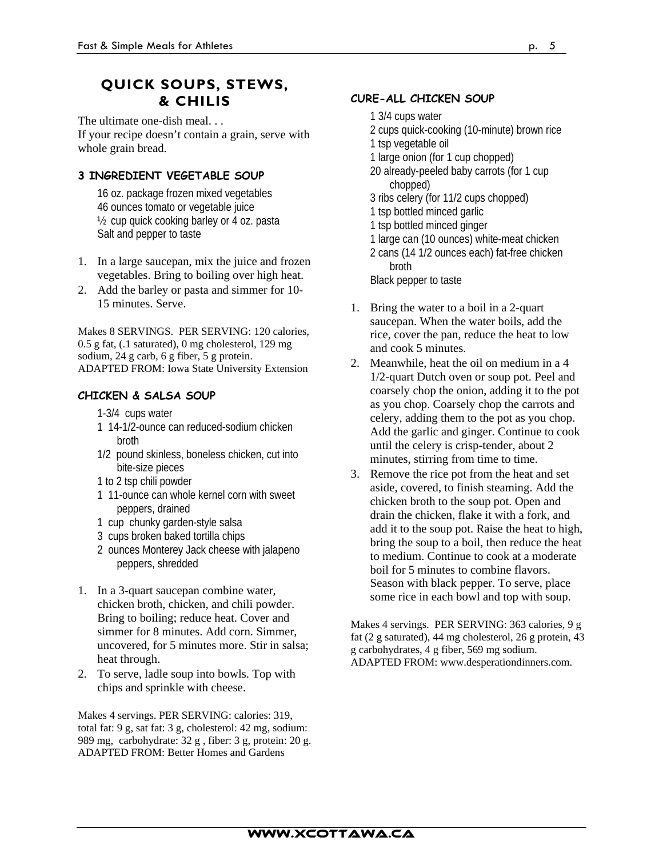## **QUICK SOUPS, STEWS, & CHILIS**

The ultimate one-dish meal. . .

If your recipe doesn't contain a grain, serve with whole grain bread.

## **3 INGREDIENT VEGETABLE SOUP**

16 oz. package frozen mixed vegetables 46 ounces tomato or vegetable juice ½ cup quick cooking barley or 4 oz. pasta Salt and pepper to taste

- 1. In a large saucepan, mix the juice and frozen vegetables. Bring to boiling over high heat.
- 2. Add the barley or pasta and simmer for 10- 15 minutes. Serve.

Makes 8 SERVINGS. PER SERVING: 120 calories, 0.5 g fat, (.1 saturated), 0 mg cholesterol, 129 mg sodium, 24 g carb, 6 g fiber, 5 g protein. ADAPTED FROM: Iowa State University Extension

## **CHICKEN & SALSA SOUP**

- 1-3/4 cups water
- 1 14-1/2-ounce can reduced-sodium chicken broth
- 1/2 pound skinless, boneless chicken, cut into bite-size pieces
- 1 to 2 tsp chili powder
- 1 11-ounce can whole kernel corn with sweet peppers, drained
- 1 cup chunky garden-style salsa
- 3 cups broken baked tortilla chips
- 2 ounces Monterey Jack cheese with jalapeno peppers, shredded
- 1. In a 3-quart saucepan combine water, chicken broth, chicken, and chili powder. Bring to boiling; reduce heat. Cover and simmer for 8 minutes. Add corn. Simmer, uncovered, for 5 minutes more. Stir in salsa; heat through.
- 2. To serve, ladle soup into bowls. Top with chips and sprinkle with cheese.

Makes 4 servings. PER SERVING: calories: 319, total fat: 9 g, sat fat: 3 g, cholesterol: 42 mg, sodium: 989 mg, carbohydrate: 32 g , fiber: 3 g, protein: 20 g. ADAPTED FROM: Better Homes and Gardens

## **CURE-ALL CHICKEN SOUP**

- 1 3/4 cups water
- 2 cups quick-cooking (10-minute) brown rice
- 1 tsp vegetable oil
- 1 large onion (for 1 cup chopped)
- 20 already-peeled baby carrots (for 1 cup chopped)
- 3 ribs celery (for 11/2 cups chopped)
- 1 tsp bottled minced garlic
- 1 tsp bottled minced ginger
- 1 large can (10 ounces) white-meat chicken
- 2 cans (14 1/2 ounces each) fat-free chicken broth

Black pepper to taste

- 1. Bring the water to a boil in a 2-quart saucepan. When the water boils, add the rice, cover the pan, reduce the heat to low and cook 5 minutes.
- 2. Meanwhile, heat the oil on medium in a 4 1/2-quart Dutch oven or soup pot. Peel and coarsely chop the onion, adding it to the pot as you chop. Coarsely chop the carrots and celery, adding them to the pot as you chop. Add the garlic and ginger. Continue to cook until the celery is crisp-tender, about 2 minutes, stirring from time to time.
- 3. Remove the rice pot from the heat and set aside, covered, to finish steaming. Add the chicken broth to the soup pot. Open and drain the chicken, flake it with a fork, and add it to the soup pot. Raise the heat to high, bring the soup to a boil, then reduce the heat to medium. Continue to cook at a moderate boil for 5 minutes to combine flavors. Season with black pepper. To serve, place some rice in each bowl and top with soup.

Makes 4 servings. PER SERVING: 363 calories, 9 g fat (2 g saturated), 44 mg cholesterol, 26 g protein, 43 g carbohydrates, 4 g fiber, 569 mg sodium. ADAPTED FROM: www.desperationdinners.com.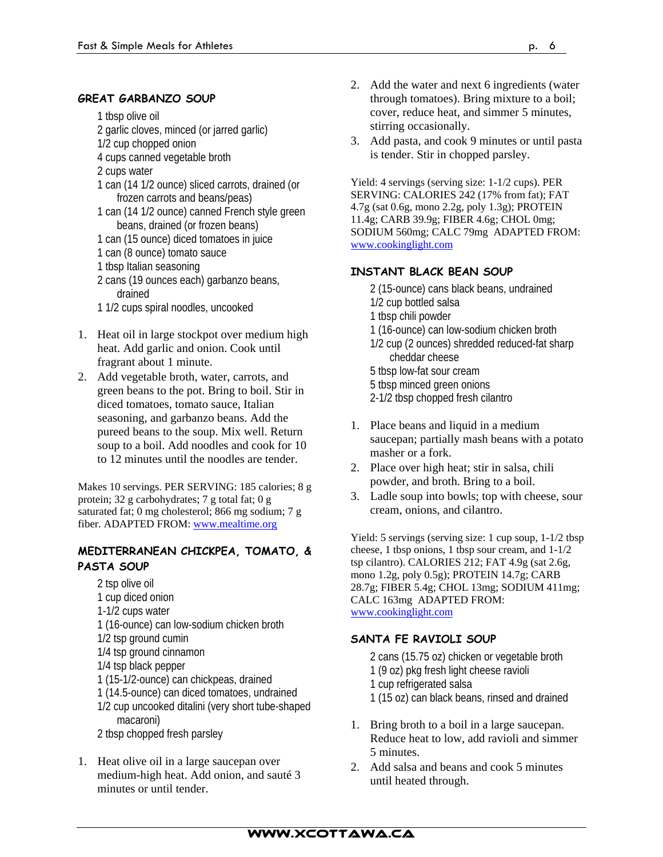#### **GREAT GARBANZO SOUP**

1 tbsp olive oil

- 2 garlic cloves, minced (or jarred garlic)
- 1/2 cup chopped onion
- 4 cups canned vegetable broth
- 2 cups water
- 1 can (14 1/2 ounce) sliced carrots, drained (or frozen carrots and beans/peas)
- 1 can (14 1/2 ounce) canned French style green beans, drained (or frozen beans)
- 1 can (15 ounce) diced tomatoes in juice
- 1 can (8 ounce) tomato sauce
- 1 tbsp Italian seasoning
- 2 cans (19 ounces each) garbanzo beans, drained
- 1 1/2 cups spiral noodles, uncooked
- 1. Heat oil in large stockpot over medium high heat. Add garlic and onion. Cook until fragrant about 1 minute.
- 2. Add vegetable broth, water, carrots, and green beans to the pot. Bring to boil. Stir in diced tomatoes, tomato sauce, Italian seasoning, and garbanzo beans. Add the pureed beans to the soup. Mix well. Return soup to a boil. Add noodles and cook for 10 to 12 minutes until the noodles are tender.

Makes 10 servings. PER SERVING: 185 calories; 8 g protein; 32 g carbohydrates; 7 g total fat; 0 g saturated fat; 0 mg cholesterol; 866 mg sodium; 7 g fiber. ADAPTED FROM: www.mealtime.org

## **MEDITERRANEAN CHICKPEA, TOMATO, & PASTA SOUP**

- 2 tsp olive oil 1 cup diced onion 1-1/2 cups water 1 (16-ounce) can low-sodium chicken broth 1/2 tsp ground cumin 1/4 tsp ground cinnamon 1/4 tsp black pepper 1 (15-1/2-ounce) can chickpeas, drained 1 (14.5-ounce) can diced tomatoes, undrained 1/2 cup uncooked ditalini (very short tube-shaped macaroni)
- 2 tbsp chopped fresh parsley
- 1. Heat olive oil in a large saucepan over medium-high heat. Add onion, and sauté 3 minutes or until tender.
- 2. Add the water and next 6 ingredients (water through tomatoes). Bring mixture to a boil; cover, reduce heat, and simmer 5 minutes, stirring occasionally.
- 3. Add pasta, and cook 9 minutes or until pasta is tender. Stir in chopped parsley.

Yield: 4 servings (serving size: 1-1/2 cups). PER SERVING: CALORIES 242 (17% from fat); FAT 4.7g (sat 0.6g, mono 2.2g, poly 1.3g); PROTEIN 11.4g; CARB 39.9g; FIBER 4.6g; CHOL 0mg; SODIUM 560mg; CALC 79mg ADAPTED FROM: www.cookinglight.com

## **INSTANT BLACK BEAN SOUP**

- 2 (15-ounce) cans black beans, undrained
- 1/2 cup bottled salsa
- 1 tbsp chili powder
- 1 (16-ounce) can low-sodium chicken broth
- 1/2 cup (2 ounces) shredded reduced-fat sharp cheddar cheese
- 5 tbsp low-fat sour cream
- 5 tbsp minced green onions
- 2-1/2 tbsp chopped fresh cilantro
- 1. Place beans and liquid in a medium saucepan; partially mash beans with a potato masher or a fork.
- 2. Place over high heat; stir in salsa, chili powder, and broth. Bring to a boil.
- 3. Ladle soup into bowls; top with cheese, sour cream, onions, and cilantro.

Yield: 5 servings (serving size: 1 cup soup, 1-1/2 tbsp cheese, 1 tbsp onions, 1 tbsp sour cream, and 1-1/2 tsp cilantro). CALORIES 212; FAT 4.9g (sat 2.6g, mono 1.2g, poly 0.5g); PROTEIN 14.7g; CARB 28.7g; FIBER 5.4g; CHOL 13mg; SODIUM 411mg; CALC 163mg ADAPTED FROM: www.cookinglight.com

## **SANTA FE RAVIOLI SOUP**

- 2 cans (15.75 oz) chicken or vegetable broth
- 1 (9 oz) pkg fresh light cheese ravioli
- 1 cup refrigerated salsa
- 1 (15 oz) can black beans, rinsed and drained
- 1. Bring broth to a boil in a large saucepan. Reduce heat to low, add ravioli and simmer 5 minutes.
- 2. Add salsa and beans and cook 5 minutes until heated through.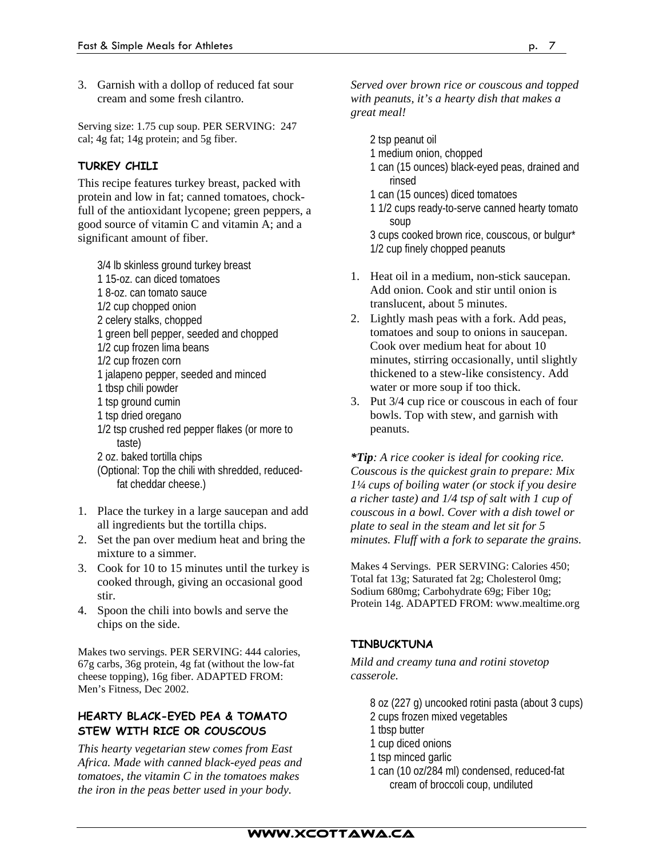3. Garnish with a dollop of reduced fat sour cream and some fresh cilantro.

Serving size: 1.75 cup soup. PER SERVING: 247 cal; 4g fat; 14g protein; and 5g fiber.

## **TURKEY CHILI**

This recipe features turkey breast, packed with protein and low in fat; canned tomatoes, chockfull of the antioxidant lycopene; green peppers, a good source of vitamin C and vitamin A; and a significant amount of fiber.

3/4 lb skinless ground turkey breast

- 1 15-oz. can diced tomatoes
- 1 8-oz. can tomato sauce
- 1/2 cup chopped onion
- 2 celery stalks, chopped
- 1 green bell pepper, seeded and chopped
- 1/2 cup frozen lima beans
- 1/2 cup frozen corn
- 1 jalapeno pepper, seeded and minced
- 1 tbsp chili powder
- 1 tsp ground cumin
- 1 tsp dried oregano
- 1/2 tsp crushed red pepper flakes (or more to taste)
- 2 oz. baked tortilla chips
- (Optional: Top the chili with shredded, reducedfat cheddar cheese.)
- 1. Place the turkey in a large saucepan and add all ingredients but the tortilla chips.
- 2. Set the pan over medium heat and bring the mixture to a simmer.
- 3. Cook for 10 to 15 minutes until the turkey is cooked through, giving an occasional good stir.
- 4. Spoon the chili into bowls and serve the chips on the side.

Makes two servings. PER SERVING: 444 calories, 67g carbs, 36g protein, 4g fat (without the low-fat cheese topping), 16g fiber. ADAPTED FROM: Men's Fitness, Dec 2002.

## **HEARTY BLACK-EYED PEA & TOMATO STEW WITH RICE OR COUSCOUS**

*This hearty vegetarian stew comes from East Africa. Made with canned black-eyed peas and tomatoes, the vitamin C in the tomatoes makes the iron in the peas better used in your body.* 

#### *Served over brown rice or couscous and topped with peanuts, it's a hearty dish that makes a great meal!*

- 2 tsp peanut oil
- 1 medium onion, chopped
- 1 can (15 ounces) black-eyed peas, drained and rinsed
- 1 can (15 ounces) diced tomatoes
- 1 1/2 cups ready-to-serve canned hearty tomato soup

3 cups cooked brown rice, couscous, or bulgur\* 1/2 cup finely chopped peanuts

- 1. Heat oil in a medium, non-stick saucepan. Add onion. Cook and stir until onion is translucent, about 5 minutes.
- 2. Lightly mash peas with a fork. Add peas, tomatoes and soup to onions in saucepan. Cook over medium heat for about 10 minutes, stirring occasionally, until slightly thickened to a stew-like consistency. Add water or more soup if too thick.
- 3. Put 3/4 cup rice or couscous in each of four bowls. Top with stew, and garnish with peanuts.

*\*Tip: A rice cooker is ideal for cooking rice. Couscous is the quickest grain to prepare: Mix 1¼ cups of boiling water (or stock if you desire a richer taste) and 1/4 tsp of salt with 1 cup of couscous in a bowl. Cover with a dish towel or plate to seal in the steam and let sit for 5 minutes. Fluff with a fork to separate the grains.* 

Makes 4 Servings. PER SERVING: Calories 450; Total fat 13g; Saturated fat 2g; Cholesterol 0mg; Sodium 680mg; Carbohydrate 69g; Fiber 10g; Protein 14g. ADAPTED FROM: www.mealtime.org

## **TINBUCKTUNA**

*Mild and creamy tuna and rotini stovetop casserole.* 

8 oz (227 g) uncooked rotini pasta (about 3 cups)

- 2 cups frozen mixed vegetables
- 1 tbsp butter
- 1 cup diced onions
- 1 tsp minced garlic
- 1 can (10 oz/284 ml) condensed, reduced-fat cream of broccoli coup, undiluted

## www.xcottawa.ca